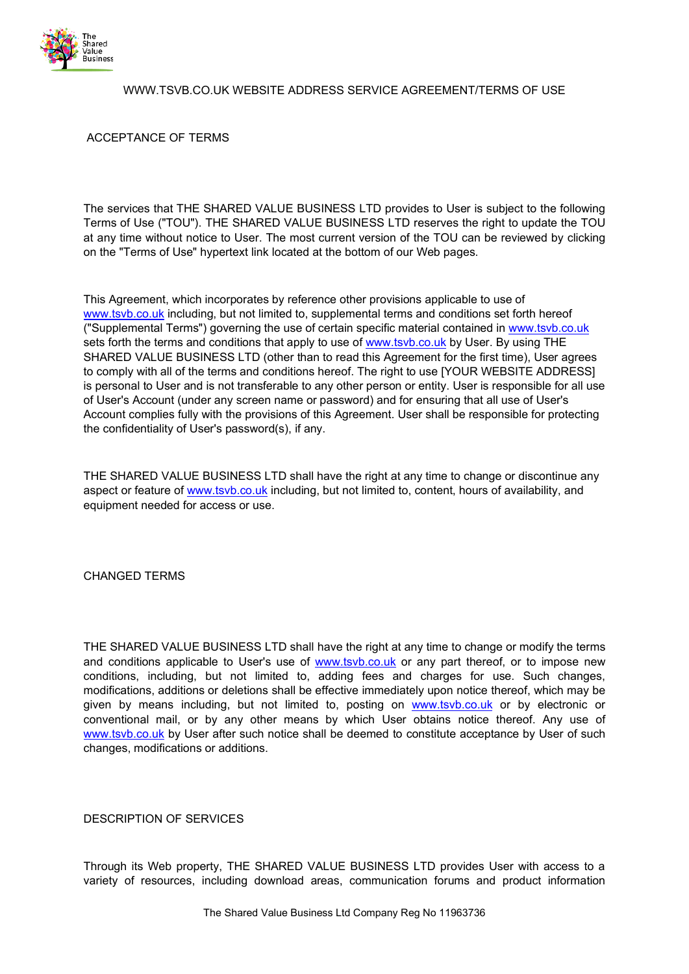

# WWW.TSVB.CO.UK WEBSITE ADDRESS SERVICE AGREEMENT/TERMS OF USE

# ACCEPTANCE OF TERMS

The services that THE SHARED VALUE BUSINESS LTD provides to User is subject to the following Terms of Use ("TOU"). THE SHARED VALUE BUSINESS LTD reserves the right to update the TOU at any time without notice to User. The most current version of the TOU can be reviewed by clicking on the "Terms of Use" hypertext link located at the bottom of our Web pages.

This Agreement, which incorporates by reference other provisions applicable to use of [www.tsvb.co.uk](http://www.onescmedia.co.uk/) including, but not limited to, supplemental terms and conditions set forth hereof ("Supplemental Terms") governing the use of certain specific material contained in [www.tsvb.co.uk](http://www.onescmedia.co.uk/) sets forth the terms and conditions that apply to use of [www.tsvb.co.uk](http://www.onescmedia.co.uk/) by User. By using THE SHARED VALUE BUSINESS LTD (other than to read this Agreement for the first time), User agrees to comply with all of the terms and conditions hereof. The right to use [YOUR WEBSITE ADDRESS] is personal to User and is not transferable to any other person or entity. User is responsible for all use of User's Account (under any screen name or password) and for ensuring that all use of User's Account complies fully with the provisions of this Agreement. User shall be responsible for protecting the confidentiality of User's password(s), if any.

THE SHARED VALUE BUSINESS LTD shall have the right at any time to change or discontinue any aspect or feature of [www.tsvb.co.uk](http://www.onescmedia.co.uk/) including, but not limited to, content, hours of availability, and equipment needed for access or use.

#### CHANGED TERMS

THE SHARED VALUE BUSINESS LTD shall have the right at any time to change or modify the terms and conditions applicable to User's use of [www.tsvb.co.uk](http://www.onescmedia.co.uk/) or any part thereof, or to impose new conditions, including, but not limited to, adding fees and charges for use. Such changes, modifications, additions or deletions shall be effective immediately upon notice thereof, which may be given by means including, but not limited to, posting on [www.tsvb.co.uk](http://www.onescmedia.co.uk/) or by electronic or conventional mail, or by any other means by which User obtains notice thereof. Any use of [www.tsvb.co.uk](http://www.onescmedia.co.uk/) by User after such notice shall be deemed to constitute acceptance by User of such changes, modifications or additions.

#### DESCRIPTION OF SERVICES

Through its Web property, THE SHARED VALUE BUSINESS LTD provides User with access to a variety of resources, including download areas, communication forums and product information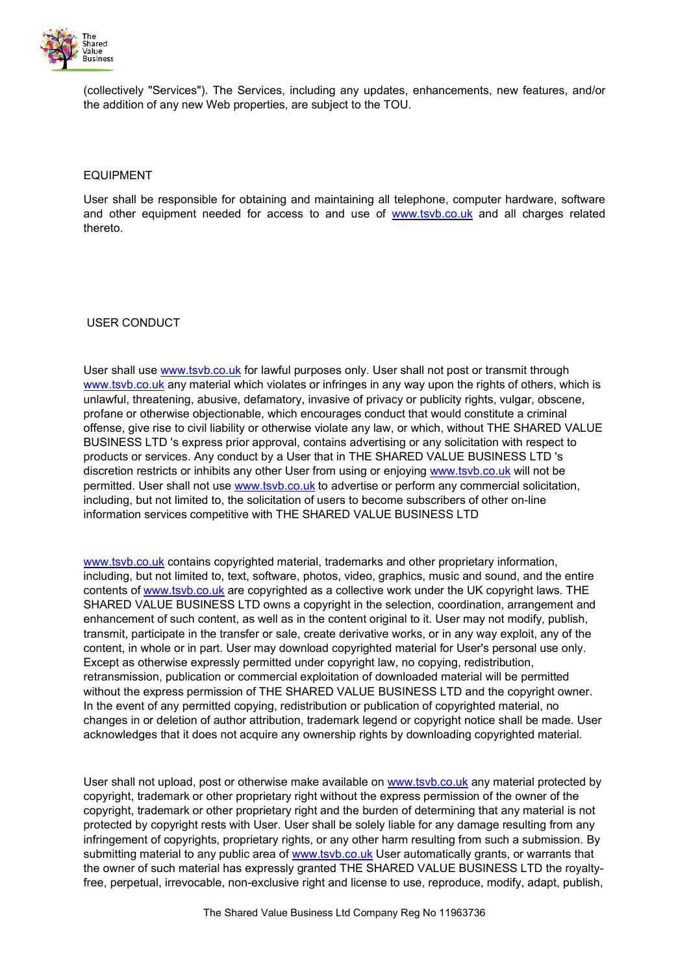

(collectively "Services"). The Services, including any updates, enhancements, new features, and/or the addition of any new Web properties, are subject to the TOU.

#### EQUIPMENT

User shall be responsible for obtaining and maintaining all telephone, computer hardware, software and other equipment needed for access to and use of [www.tsvb.co.uk](http://www.onescmedia.co.uk/) and all charges related thereto.

USER CONDUCT

User shall use [www.tsvb.co.uk](http://www.onescmedia.co.uk/) for lawful purposes only. User shall not post or transmit through [www.tsvb.co.uk](http://www.onescmedia.co.uk/) any material which violates or infringes in any way upon the rights of others, which is unlawful, threatening, abusive, defamatory, invasive of privacy or publicity rights, vulgar, obscene, profane or otherwise objectionable, which encourages conduct that would constitute a criminal offense, give rise to civil liability or otherwise violate any law, or which, without THE SHARED VALUE BUSINESS LTD 's express prior approval, contains advertising or any solicitation with respect to products or services. Any conduct by a User that in THE SHARED VALUE BUSINESS LTD 's discretion restricts or inhibits any other User from using or enjoying [www.tsvb.co.uk](http://www.onescmedia.co.uk/) will not be permitted. User shall not use [www.tsvb.co.uk](http://www.onescmedia.co.uk/) to advertise or perform any commercial solicitation, including, but not limited to, the solicitation of users to become subscribers of other on-line information services competitive with THE SHARED VALUE BUSINESS LTD

[www.tsvb.co.uk](http://www.onescmedia.co.uk/) contains copyrighted material, trademarks and other proprietary information, including, but not limited to, text, software, photos, video, graphics, music and sound, and the entire contents o[f www.tsvb.co.uk](http://www.onescmedia.co.uk/) are copyrighted as a collective work under the UK copyright laws. THE SHARED VALUE BUSINESS LTD owns a copyright in the selection, coordination, arrangement and enhancement of such content, as well as in the content original to it. User may not modify, publish, transmit, participate in the transfer or sale, create derivative works, or in any way exploit, any of the content, in whole or in part. User may download copyrighted material for User's personal use only. Except as otherwise expressly permitted under copyright law, no copying, redistribution, retransmission, publication or commercial exploitation of downloaded material will be permitted without the express permission of THE SHARED VALUE BUSINESS LTD and the copyright owner. In the event of any permitted copying, redistribution or publication of copyrighted material, no changes in or deletion of author attribution, trademark legend or copyright notice shall be made. User acknowledges that it does not acquire any ownership rights by downloading copyrighted material.

User shall not upload, post or otherwise make available on [www.tsvb.co.uk](http://www.onescmedia.co.uk/) any material protected by copyright, trademark or other proprietary right without the express permission of the owner of the copyright, trademark or other proprietary right and the burden of determining that any material is not protected by copyright rests with User. User shall be solely liable for any damage resulting from any infringement of copyrights, proprietary rights, or any other harm resulting from such a submission. By submitting material to any public area of [www.tsvb.co.uk](http://www.onescmedia.co.uk/) User automatically grants, or warrants that the owner of such material has expressly granted THE SHARED VALUE BUSINESS LTD the royaltyfree, perpetual, irrevocable, non-exclusive right and license to use, reproduce, modify, adapt, publish,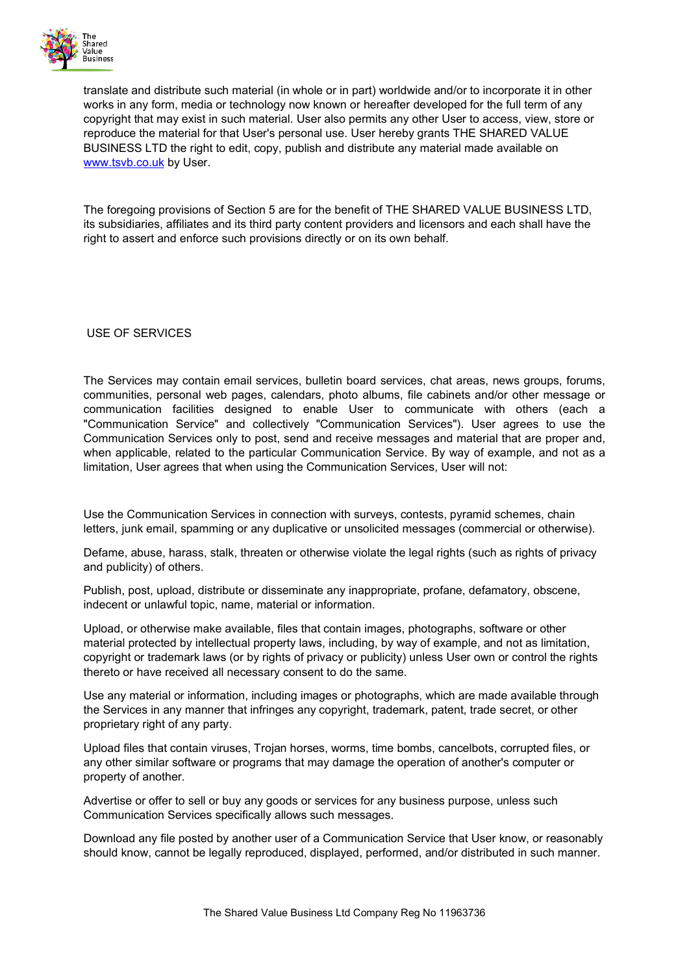

translate and distribute such material (in whole or in part) worldwide and/or to incorporate it in other works in any form, media or technology now known or hereafter developed for the full term of any copyright that may exist in such material. User also permits any other User to access, view, store or reproduce the material for that User's personal use. User hereby grants THE SHARED VALUE BUSINESS LTD the right to edit, copy, publish and distribute any material made available on [www.tsvb.co.uk](http://www.onescmedia.co.uk/) by User.

The foregoing provisions of Section 5 are for the benefit of THE SHARED VALUE BUSINESS LTD, its subsidiaries, affiliates and its third party content providers and licensors and each shall have the right to assert and enforce such provisions directly or on its own behalf.

USE OF SERVICES

The Services may contain email services, bulletin board services, chat areas, news groups, forums, communities, personal web pages, calendars, photo albums, file cabinets and/or other message or communication facilities designed to enable User to communicate with others (each a "Communication Service" and collectively "Communication Services"). User agrees to use the Communication Services only to post, send and receive messages and material that are proper and, when applicable, related to the particular Communication Service. By way of example, and not as a limitation, User agrees that when using the Communication Services, User will not:

Use the Communication Services in connection with surveys, contests, pyramid schemes, chain letters, junk email, spamming or any duplicative or unsolicited messages (commercial or otherwise).

Defame, abuse, harass, stalk, threaten or otherwise violate the legal rights (such as rights of privacy and publicity) of others.

Publish, post, upload, distribute or disseminate any inappropriate, profane, defamatory, obscene, indecent or unlawful topic, name, material or information.

Upload, or otherwise make available, files that contain images, photographs, software or other material protected by intellectual property laws, including, by way of example, and not as limitation, copyright or trademark laws (or by rights of privacy or publicity) unless User own or control the rights thereto or have received all necessary consent to do the same.

Use any material or information, including images or photographs, which are made available through the Services in any manner that infringes any copyright, trademark, patent, trade secret, or other proprietary right of any party.

Upload files that contain viruses, Trojan horses, worms, time bombs, cancelbots, corrupted files, or any other similar software or programs that may damage the operation of another's computer or property of another.

Advertise or offer to sell or buy any goods or services for any business purpose, unless such Communication Services specifically allows such messages.

Download any file posted by another user of a Communication Service that User know, or reasonably should know, cannot be legally reproduced, displayed, performed, and/or distributed in such manner.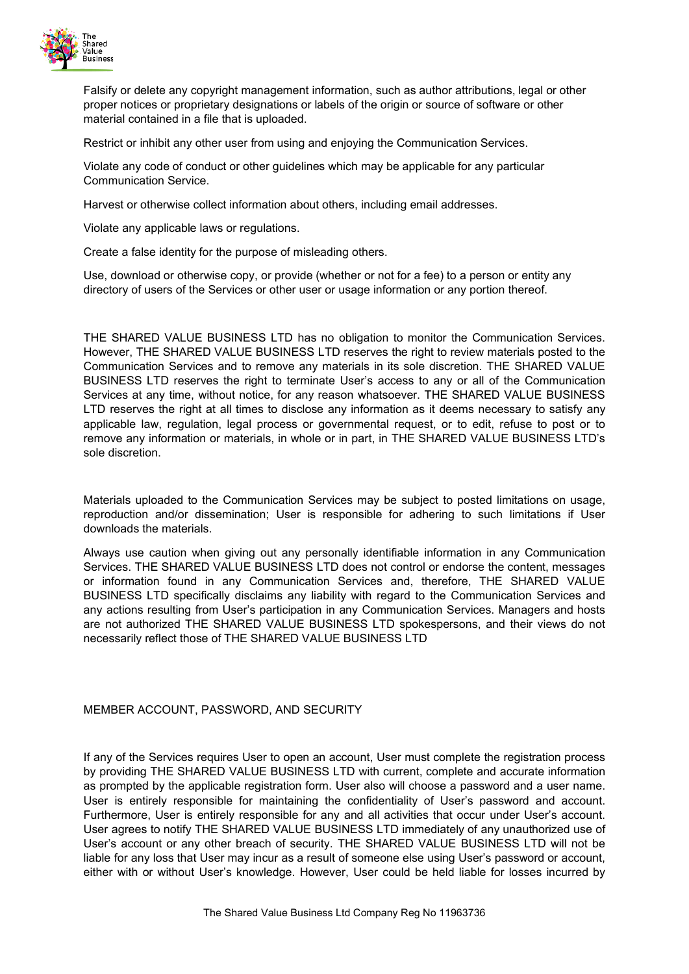

Falsify or delete any copyright management information, such as author attributions, legal or other proper notices or proprietary designations or labels of the origin or source of software or other material contained in a file that is uploaded.

Restrict or inhibit any other user from using and enjoying the Communication Services.

Violate any code of conduct or other guidelines which may be applicable for any particular Communication Service.

Harvest or otherwise collect information about others, including email addresses.

Violate any applicable laws or regulations.

Create a false identity for the purpose of misleading others.

Use, download or otherwise copy, or provide (whether or not for a fee) to a person or entity any directory of users of the Services or other user or usage information or any portion thereof.

THE SHARED VALUE BUSINESS LTD has no obligation to monitor the Communication Services. However, THE SHARED VALUE BUSINESS LTD reserves the right to review materials posted to the Communication Services and to remove any materials in its sole discretion. THE SHARED VALUE BUSINESS LTD reserves the right to terminate User's access to any or all of the Communication Services at any time, without notice, for any reason whatsoever. THE SHARED VALUE BUSINESS LTD reserves the right at all times to disclose any information as it deems necessary to satisfy any applicable law, regulation, legal process or governmental request, or to edit, refuse to post or to remove any information or materials, in whole or in part, in THE SHARED VALUE BUSINESS LTD's sole discretion.

Materials uploaded to the Communication Services may be subject to posted limitations on usage, reproduction and/or dissemination; User is responsible for adhering to such limitations if User downloads the materials.

Always use caution when giving out any personally identifiable information in any Communication Services. THE SHARED VALUE BUSINESS LTD does not control or endorse the content, messages or information found in any Communication Services and, therefore, THE SHARED VALUE BUSINESS LTD specifically disclaims any liability with regard to the Communication Services and any actions resulting from User's participation in any Communication Services. Managers and hosts are not authorized THE SHARED VALUE BUSINESS LTD spokespersons, and their views do not necessarily reflect those of THE SHARED VALUE BUSINESS LTD

#### MEMBER ACCOUNT, PASSWORD, AND SECURITY

If any of the Services requires User to open an account, User must complete the registration process by providing THE SHARED VALUE BUSINESS LTD with current, complete and accurate information as prompted by the applicable registration form. User also will choose a password and a user name. User is entirely responsible for maintaining the confidentiality of User's password and account. Furthermore, User is entirely responsible for any and all activities that occur under User's account. User agrees to notify THE SHARED VALUE BUSINESS LTD immediately of any unauthorized use of User's account or any other breach of security. THE SHARED VALUE BUSINESS LTD will not be liable for any loss that User may incur as a result of someone else using User's password or account, either with or without User's knowledge. However, User could be held liable for losses incurred by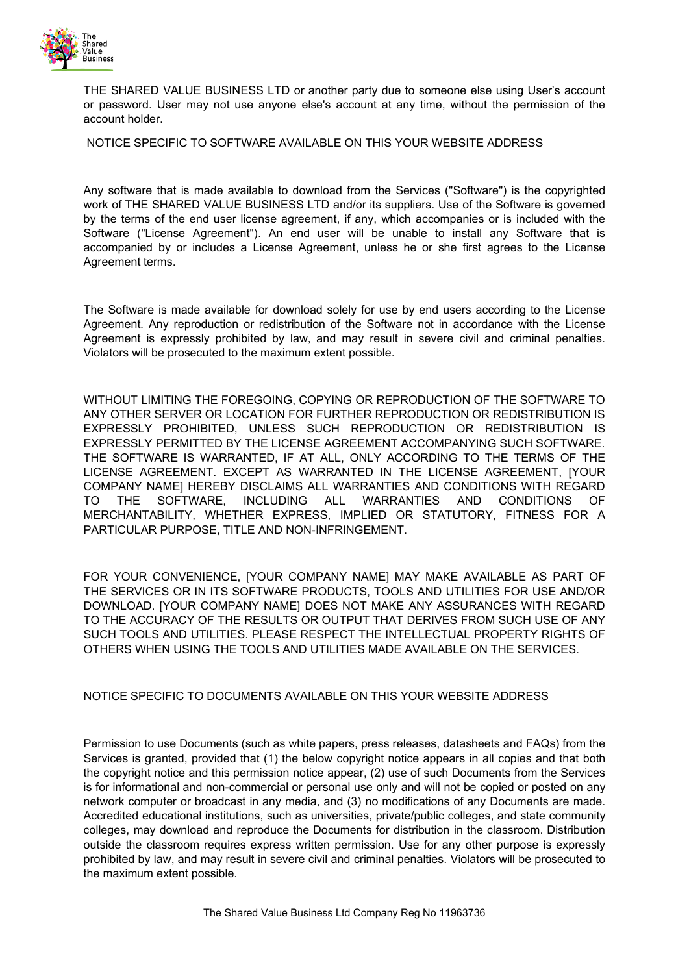

THE SHARED VALUE BUSINESS LTD or another party due to someone else using User's account or password. User may not use anyone else's account at any time, without the permission of the account holder.

NOTICE SPECIFIC TO SOFTWARE AVAILABLE ON THIS YOUR WEBSITE ADDRESS

Any software that is made available to download from the Services ("Software") is the copyrighted work of THE SHARED VALUE BUSINESS LTD and/or its suppliers. Use of the Software is governed by the terms of the end user license agreement, if any, which accompanies or is included with the Software ("License Agreement"). An end user will be unable to install any Software that is accompanied by or includes a License Agreement, unless he or she first agrees to the License Agreement terms.

The Software is made available for download solely for use by end users according to the License Agreement. Any reproduction or redistribution of the Software not in accordance with the License Agreement is expressly prohibited by law, and may result in severe civil and criminal penalties. Violators will be prosecuted to the maximum extent possible.

WITHOUT LIMITING THE FOREGOING, COPYING OR REPRODUCTION OF THE SOFTWARE TO ANY OTHER SERVER OR LOCATION FOR FURTHER REPRODUCTION OR REDISTRIBUTION IS EXPRESSLY PROHIBITED, UNLESS SUCH REPRODUCTION OR REDISTRIBUTION IS EXPRESSLY PERMITTED BY THE LICENSE AGREEMENT ACCOMPANYING SUCH SOFTWARE. THE SOFTWARE IS WARRANTED, IF AT ALL, ONLY ACCORDING TO THE TERMS OF THE LICENSE AGREEMENT. EXCEPT AS WARRANTED IN THE LICENSE AGREEMENT, [YOUR COMPANY NAME] HEREBY DISCLAIMS ALL WARRANTIES AND CONDITIONS WITH REGARD TO THE SOFTWARE, INCLUDING ALL WARRANTIES AND CONDITIONS OF MERCHANTABILITY, WHETHER EXPRESS, IMPLIED OR STATUTORY, FITNESS FOR A PARTICULAR PURPOSE, TITLE AND NON-INFRINGEMENT.

FOR YOUR CONVENIENCE, [YOUR COMPANY NAME] MAY MAKE AVAILABLE AS PART OF THE SERVICES OR IN ITS SOFTWARE PRODUCTS, TOOLS AND UTILITIES FOR USE AND/OR DOWNLOAD. [YOUR COMPANY NAME] DOES NOT MAKE ANY ASSURANCES WITH REGARD TO THE ACCURACY OF THE RESULTS OR OUTPUT THAT DERIVES FROM SUCH USE OF ANY SUCH TOOLS AND UTILITIES. PLEASE RESPECT THE INTELLECTUAL PROPERTY RIGHTS OF OTHERS WHEN USING THE TOOLS AND UTILITIES MADE AVAILABLE ON THE SERVICES.

# NOTICE SPECIFIC TO DOCUMENTS AVAILABLE ON THIS YOUR WEBSITE ADDRESS

Permission to use Documents (such as white papers, press releases, datasheets and FAQs) from the Services is granted, provided that (1) the below copyright notice appears in all copies and that both the copyright notice and this permission notice appear, (2) use of such Documents from the Services is for informational and non-commercial or personal use only and will not be copied or posted on any network computer or broadcast in any media, and (3) no modifications of any Documents are made. Accredited educational institutions, such as universities, private/public colleges, and state community colleges, may download and reproduce the Documents for distribution in the classroom. Distribution outside the classroom requires express written permission. Use for any other purpose is expressly prohibited by law, and may result in severe civil and criminal penalties. Violators will be prosecuted to the maximum extent possible.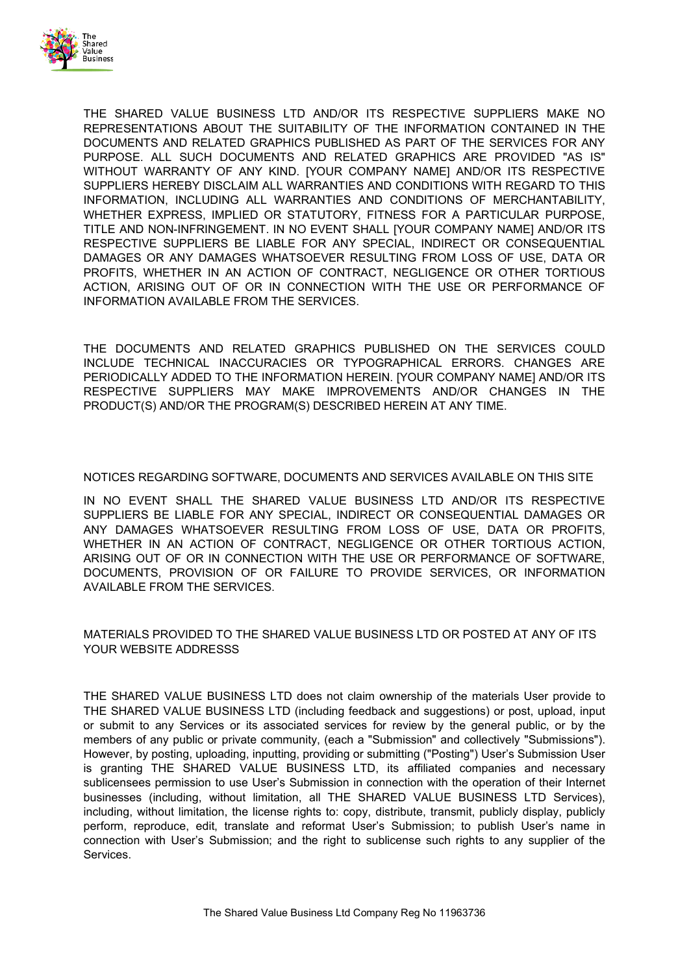

THE SHARED VALUE BUSINESS LTD AND/OR ITS RESPECTIVE SUPPLIERS MAKE NO REPRESENTATIONS ABOUT THE SUITABILITY OF THE INFORMATION CONTAINED IN THE DOCUMENTS AND RELATED GRAPHICS PUBLISHED AS PART OF THE SERVICES FOR ANY PURPOSE. ALL SUCH DOCUMENTS AND RELATED GRAPHICS ARE PROVIDED "AS IS" WITHOUT WARRANTY OF ANY KIND. [YOUR COMPANY NAME] AND/OR ITS RESPECTIVE SUPPLIERS HEREBY DISCLAIM ALL WARRANTIES AND CONDITIONS WITH REGARD TO THIS INFORMATION, INCLUDING ALL WARRANTIES AND CONDITIONS OF MERCHANTABILITY, WHETHER EXPRESS, IMPLIED OR STATUTORY, FITNESS FOR A PARTICULAR PURPOSE, TITLE AND NON-INFRINGEMENT. IN NO EVENT SHALL [YOUR COMPANY NAME] AND/OR ITS RESPECTIVE SUPPLIERS BE LIABLE FOR ANY SPECIAL, INDIRECT OR CONSEQUENTIAL DAMAGES OR ANY DAMAGES WHATSOEVER RESULTING FROM LOSS OF USE, DATA OR PROFITS, WHETHER IN AN ACTION OF CONTRACT, NEGLIGENCE OR OTHER TORTIOUS ACTION, ARISING OUT OF OR IN CONNECTION WITH THE USE OR PERFORMANCE OF INFORMATION AVAILABLE FROM THE SERVICES.

THE DOCUMENTS AND RELATED GRAPHICS PUBLISHED ON THE SERVICES COULD INCLUDE TECHNICAL INACCURACIES OR TYPOGRAPHICAL ERRORS. CHANGES ARE PERIODICALLY ADDED TO THE INFORMATION HEREIN. [YOUR COMPANY NAME] AND/OR ITS RESPECTIVE SUPPLIERS MAY MAKE IMPROVEMENTS AND/OR CHANGES IN THE PRODUCT(S) AND/OR THE PROGRAM(S) DESCRIBED HEREIN AT ANY TIME.

# NOTICES REGARDING SOFTWARE, DOCUMENTS AND SERVICES AVAILABLE ON THIS SITE

IN NO EVENT SHALL THE SHARED VALUE BUSINESS LTD AND/OR ITS RESPECTIVE SUPPLIERS BE LIABLE FOR ANY SPECIAL, INDIRECT OR CONSEQUENTIAL DAMAGES OR ANY DAMAGES WHATSOEVER RESULTING FROM LOSS OF USE, DATA OR PROFITS, WHETHER IN AN ACTION OF CONTRACT, NEGLIGENCE OR OTHER TORTIOUS ACTION, ARISING OUT OF OR IN CONNECTION WITH THE USE OR PERFORMANCE OF SOFTWARE, DOCUMENTS, PROVISION OF OR FAILURE TO PROVIDE SERVICES, OR INFORMATION AVAILABLE FROM THE SERVICES.

# MATERIALS PROVIDED TO THE SHARED VALUE BUSINESS LTD OR POSTED AT ANY OF ITS YOUR WEBSITE ADDRESSS

THE SHARED VALUE BUSINESS LTD does not claim ownership of the materials User provide to THE SHARED VALUE BUSINESS LTD (including feedback and suggestions) or post, upload, input or submit to any Services or its associated services for review by the general public, or by the members of any public or private community, (each a "Submission" and collectively "Submissions"). However, by posting, uploading, inputting, providing or submitting ("Posting") User's Submission User is granting THE SHARED VALUE BUSINESS LTD, its affiliated companies and necessary sublicensees permission to use User's Submission in connection with the operation of their Internet businesses (including, without limitation, all THE SHARED VALUE BUSINESS LTD Services), including, without limitation, the license rights to: copy, distribute, transmit, publicly display, publicly perform, reproduce, edit, translate and reformat User's Submission; to publish User's name in connection with User's Submission; and the right to sublicense such rights to any supplier of the Services.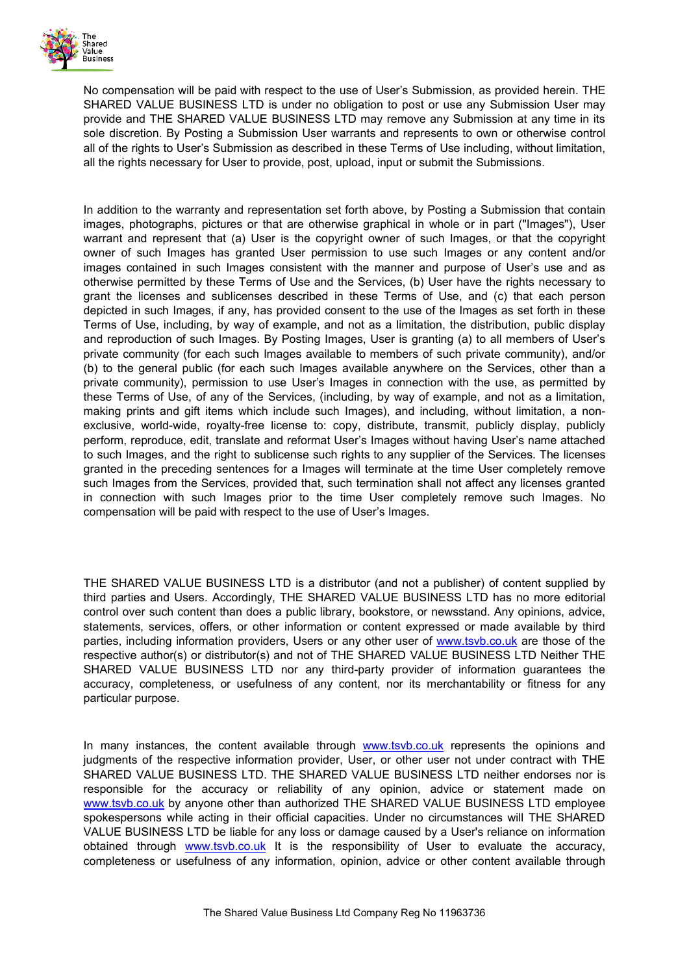

No compensation will be paid with respect to the use of User's Submission, as provided herein. THE SHARED VALUE BUSINESS LTD is under no obligation to post or use any Submission User may provide and THE SHARED VALUE BUSINESS LTD may remove any Submission at any time in its sole discretion. By Posting a Submission User warrants and represents to own or otherwise control all of the rights to User's Submission as described in these Terms of Use including, without limitation, all the rights necessary for User to provide, post, upload, input or submit the Submissions.

In addition to the warranty and representation set forth above, by Posting a Submission that contain images, photographs, pictures or that are otherwise graphical in whole or in part ("Images"), User warrant and represent that (a) User is the copyright owner of such Images, or that the copyright owner of such Images has granted User permission to use such Images or any content and/or images contained in such Images consistent with the manner and purpose of User's use and as otherwise permitted by these Terms of Use and the Services, (b) User have the rights necessary to grant the licenses and sublicenses described in these Terms of Use, and (c) that each person depicted in such Images, if any, has provided consent to the use of the Images as set forth in these Terms of Use, including, by way of example, and not as a limitation, the distribution, public display and reproduction of such Images. By Posting Images, User is granting (a) to all members of User's private community (for each such Images available to members of such private community), and/or (b) to the general public (for each such Images available anywhere on the Services, other than a private community), permission to use User's Images in connection with the use, as permitted by these Terms of Use, of any of the Services, (including, by way of example, and not as a limitation, making prints and gift items which include such Images), and including, without limitation, a nonexclusive, world-wide, royalty-free license to: copy, distribute, transmit, publicly display, publicly perform, reproduce, edit, translate and reformat User's Images without having User's name attached to such Images, and the right to sublicense such rights to any supplier of the Services. The licenses granted in the preceding sentences for a Images will terminate at the time User completely remove such Images from the Services, provided that, such termination shall not affect any licenses granted in connection with such Images prior to the time User completely remove such Images. No compensation will be paid with respect to the use of User's Images.

THE SHARED VALUE BUSINESS LTD is a distributor (and not a publisher) of content supplied by third parties and Users. Accordingly, THE SHARED VALUE BUSINESS LTD has no more editorial control over such content than does a public library, bookstore, or newsstand. Any opinions, advice, statements, services, offers, or other information or content expressed or made available by third parties, including information providers, Users or any other user of [www.tsvb.co.uk](http://www.onescmedia.co.uk/) are those of the respective author(s) or distributor(s) and not of THE SHARED VALUE BUSINESS LTD Neither THE SHARED VALUE BUSINESS LTD nor any third-party provider of information guarantees the accuracy, completeness, or usefulness of any content, nor its merchantability or fitness for any particular purpose.

In many instances, the content available through [www.tsvb.co.uk](http://www.onescmedia.co.uk/) represents the opinions and judgments of the respective information provider, User, or other user not under contract with THE SHARED VALUE BUSINESS LTD. THE SHARED VALUE BUSINESS LTD neither endorses nor is responsible for the accuracy or reliability of any opinion, advice or statement made on [www.tsvb.co.uk](http://www.onescmedia.co.uk/) by anyone other than authorized THE SHARED VALUE BUSINESS LTD employee spokespersons while acting in their official capacities. Under no circumstances will THE SHARED VALUE BUSINESS LTD be liable for any loss or damage caused by a User's reliance on information obtained through [www.tsvb.co.uk](http://www.onescmedia.co.uk/) It is the responsibility of User to evaluate the accuracy, completeness or usefulness of any information, opinion, advice or other content available through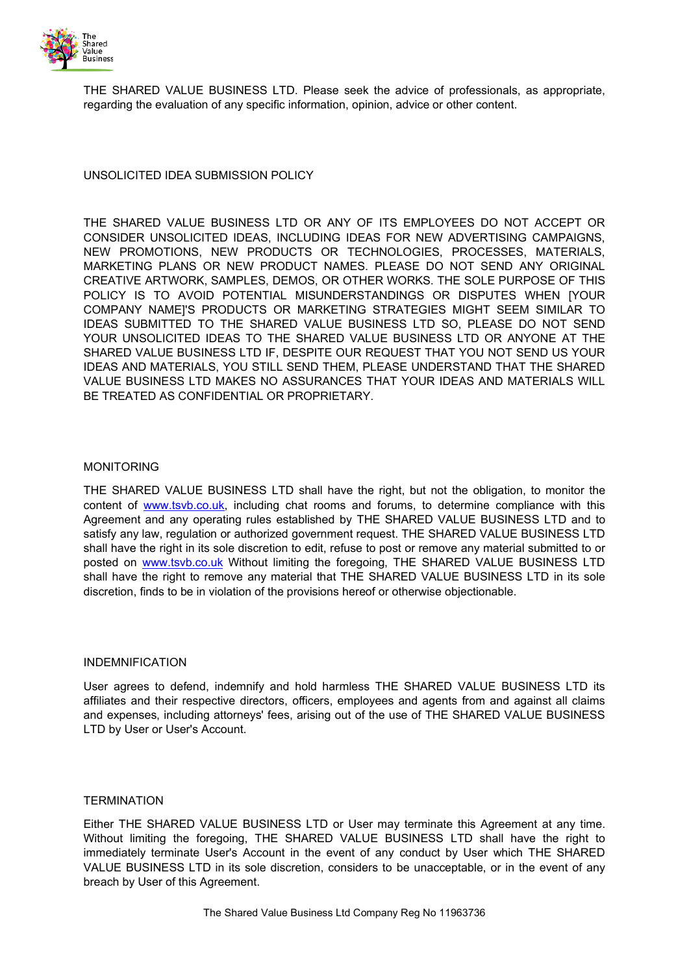

THE SHARED VALUE BUSINESS LTD. Please seek the advice of professionals, as appropriate, regarding the evaluation of any specific information, opinion, advice or other content.

UNSOLICITED IDEA SUBMISSION POLICY

THE SHARED VALUE BUSINESS LTD OR ANY OF ITS EMPLOYEES DO NOT ACCEPT OR CONSIDER UNSOLICITED IDEAS, INCLUDING IDEAS FOR NEW ADVERTISING CAMPAIGNS, NEW PROMOTIONS, NEW PRODUCTS OR TECHNOLOGIES, PROCESSES, MATERIALS, MARKETING PLANS OR NEW PRODUCT NAMES. PLEASE DO NOT SEND ANY ORIGINAL CREATIVE ARTWORK, SAMPLES, DEMOS, OR OTHER WORKS. THE SOLE PURPOSE OF THIS POLICY IS TO AVOID POTENTIAL MISUNDERSTANDINGS OR DISPUTES WHEN [YOUR COMPANY NAME]'S PRODUCTS OR MARKETING STRATEGIES MIGHT SEEM SIMILAR TO IDEAS SUBMITTED TO THE SHARED VALUE BUSINESS LTD SO, PLEASE DO NOT SEND YOUR UNSOLICITED IDEAS TO THE SHARED VALUE BUSINESS LTD OR ANYONE AT THE SHARED VALUE BUSINESS LTD IF, DESPITE OUR REQUEST THAT YOU NOT SEND US YOUR IDEAS AND MATERIALS, YOU STILL SEND THEM, PLEASE UNDERSTAND THAT THE SHARED VALUE BUSINESS LTD MAKES NO ASSURANCES THAT YOUR IDEAS AND MATERIALS WILL BE TREATED AS CONFIDENTIAL OR PROPRIETARY.

# MONITORING

THE SHARED VALUE BUSINESS LTD shall have the right, but not the obligation, to monitor the content of [www.tsvb.co.uk,](http://www.onescmedia.co.uk/) including chat rooms and forums, to determine compliance with this Agreement and any operating rules established by THE SHARED VALUE BUSINESS LTD and to satisfy any law, regulation or authorized government request. THE SHARED VALUE BUSINESS LTD shall have the right in its sole discretion to edit, refuse to post or remove any material submitted to or posted on [www.tsvb.co.uk](http://www.onescmedia.co.uk/) Without limiting the foregoing, THE SHARED VALUE BUSINESS LTD shall have the right to remove any material that THE SHARED VALUE BUSINESS LTD in its sole discretion, finds to be in violation of the provisions hereof or otherwise objectionable.

#### INDEMNIFICATION

User agrees to defend, indemnify and hold harmless THE SHARED VALUE BUSINESS LTD its affiliates and their respective directors, officers, employees and agents from and against all claims and expenses, including attorneys' fees, arising out of the use of THE SHARED VALUE BUSINESS LTD by User or User's Account.

# **TERMINATION**

Either THE SHARED VALUE BUSINESS LTD or User may terminate this Agreement at any time. Without limiting the foregoing, THE SHARED VALUE BUSINESS LTD shall have the right to immediately terminate User's Account in the event of any conduct by User which THE SHARED VALUE BUSINESS LTD in its sole discretion, considers to be unacceptable, or in the event of any breach by User of this Agreement.